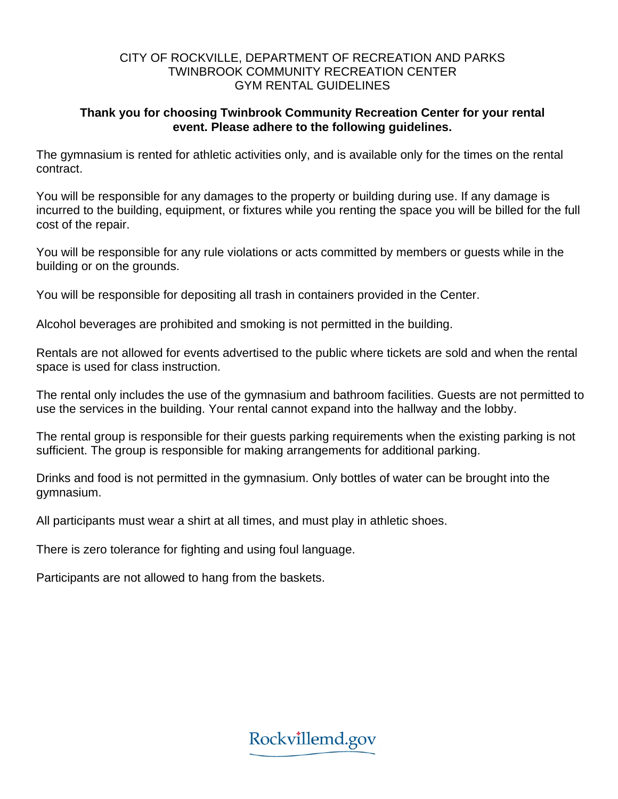## CITY OF ROCKVILLE, DEPARTMENT OF RECREATION AND PARKS TWINBROOK COMMUNITY RECREATION CENTER GYM RENTAL GUIDELINES

## **Thank you for choosing Twinbrook Community Recreation Center for your rental event. Please adhere to the following guidelines.**

The gymnasium is rented for athletic activities only, and is available only for the times on the rental contract.

You will be responsible for any damages to the property or building during use. If any damage is incurred to the building, equipment, or fixtures while you renting the space you will be billed for the full cost of the repair.

You will be responsible for any rule violations or acts committed by members or guests while in the building or on the grounds.

You will be responsible for depositing all trash in containers provided in the Center.

Alcohol beverages are prohibited and smoking is not permitted in the building.

Rentals are not allowed for events advertised to the public where tickets are sold and when the rental space is used for class instruction.

The rental only includes the use of the gymnasium and bathroom facilities. Guests are not permitted to use the services in the building. Your rental cannot expand into the hallway and the lobby.

The rental group is responsible for their guests parking requirements when the existing parking is not sufficient. The group is responsible for making arrangements for additional parking.

Drinks and food is not permitted in the gymnasium. Only bottles of water can be brought into the gymnasium.

All participants must wear a shirt at all times, and must play in athletic shoes.

There is zero tolerance for fighting and using foul language.

Participants are not allowed to hang from the baskets.

Rockvillemd.gov